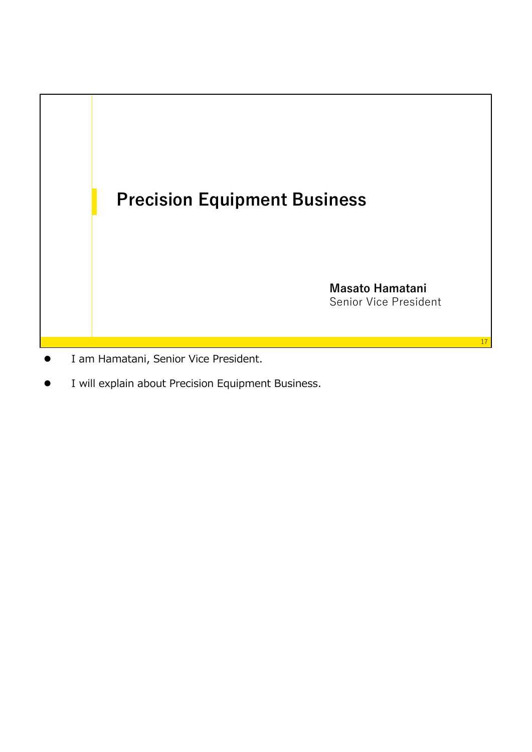

- I am Hamatani, Senior Vice President.
- I will explain about Precision Equipment Business.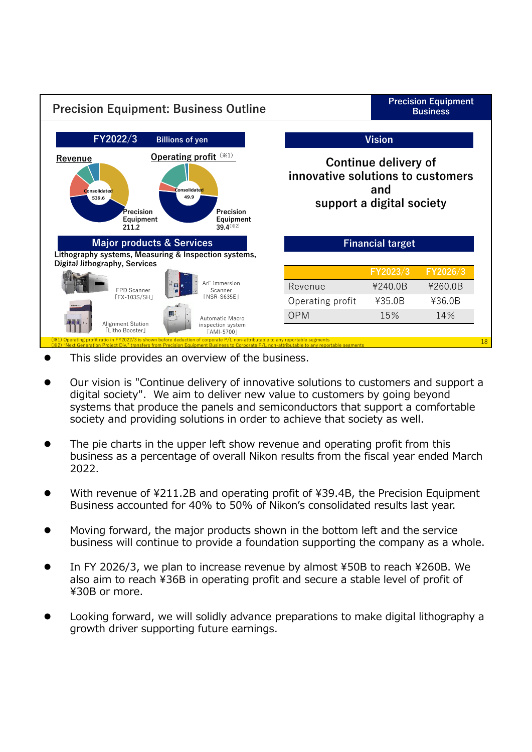

- This slide provides an overview of the business.
- Our vision is "Continue delivery of innovative solutions to customers and support a digital society". We aim to deliver new value to customers by going beyond systems that produce the panels and semiconductors that support a comfortable society and providing solutions in order to achieve that society as well.
- The pie charts in the upper left show revenue and operating profit from this business as a percentage of overall Nikon results from the fiscal year ended March 2022.
- With revenue of ¥211.2B and operating profit of ¥39.4B, the Precision Equipment Business accounted for 40% to 50% of Nikon's consolidated results last year.
- Moving forward, the major products shown in the bottom left and the service business will continue to provide a foundation supporting the company as a whole.
- In FY 2026/3, we plan to increase revenue by almost ¥50B to reach ¥260B. We also aim to reach ¥36B in operating profit and secure a stable level of profit of ¥30B or more.
- Looking forward, we will solidly advance preparations to make digital lithography a growth driver supporting future earnings.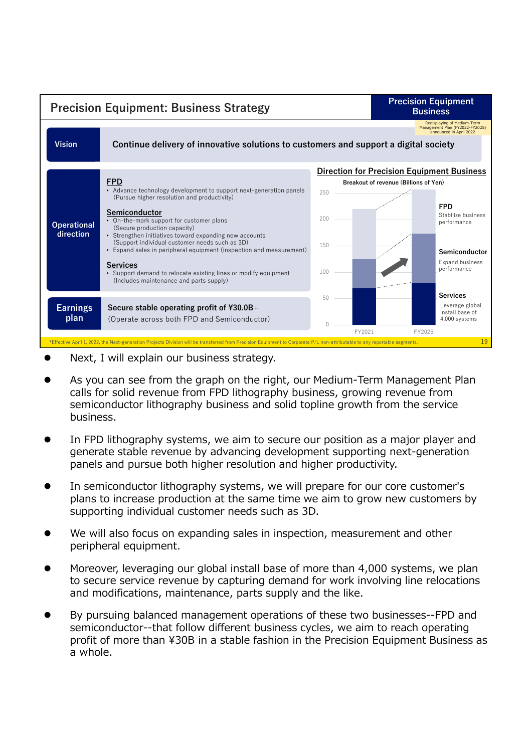

- Next, I will explain our business strategy.
- As you can see from the graph on the right, our Medium-Term Management Plan calls for solid revenue from FPD lithography business, growing revenue from semiconductor lithography business and solid topline growth from the service business.
- In FPD lithography systems, we aim to secure our position as a major player and generate stable revenue by advancing development supporting next-generation panels and pursue both higher resolution and higher productivity.
- In semiconductor lithography systems, we will prepare for our core customer's plans to increase production at the same time we aim to grow new customers by supporting individual customer needs such as 3D.
- We will also focus on expanding sales in inspection, measurement and other peripheral equipment.
- Moreover, leveraging our global install base of more than 4,000 systems, we plan to secure service revenue by capturing demand for work involving line relocations and modifications, maintenance, parts supply and the like.
- By pursuing balanced management operations of these two businesses--FPD and semiconductor--that follow different business cycles, we aim to reach operating profit of more than ¥30B in a stable fashion in the Precision Equipment Business as a whole.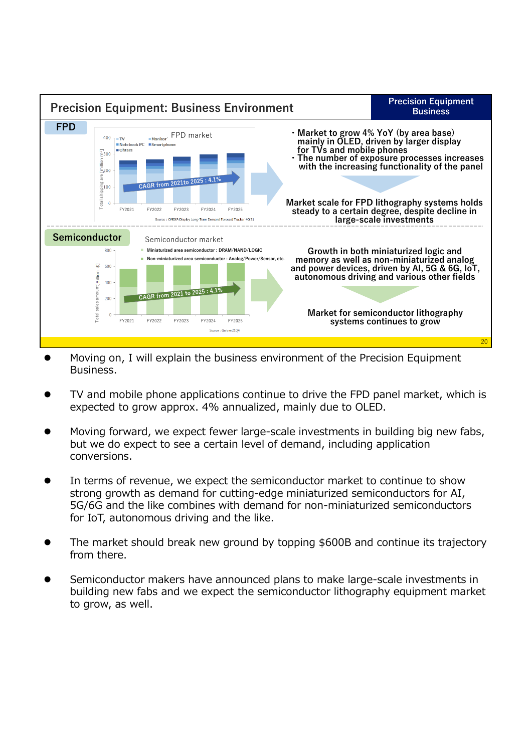

- Moving on, I will explain the business environment of the Precision Equipment Business.
- TV and mobile phone applications continue to drive the FPD panel market, which is expected to grow approx. 4% annualized, mainly due to OLED.
- Moving forward, we expect fewer large-scale investments in building big new fabs, but we do expect to see a certain level of demand, including application conversions.
- In terms of revenue, we expect the semiconductor market to continue to show strong growth as demand for cutting-edge miniaturized semiconductors for AI, 5G/6G and the like combines with demand for non-miniaturized semiconductors for IoT, autonomous driving and the like.
- The market should break new ground by topping \$600B and continue its trajectory from there.
- Semiconductor makers have announced plans to make large-scale investments in building new fabs and we expect the semiconductor lithography equipment market to grow, as well.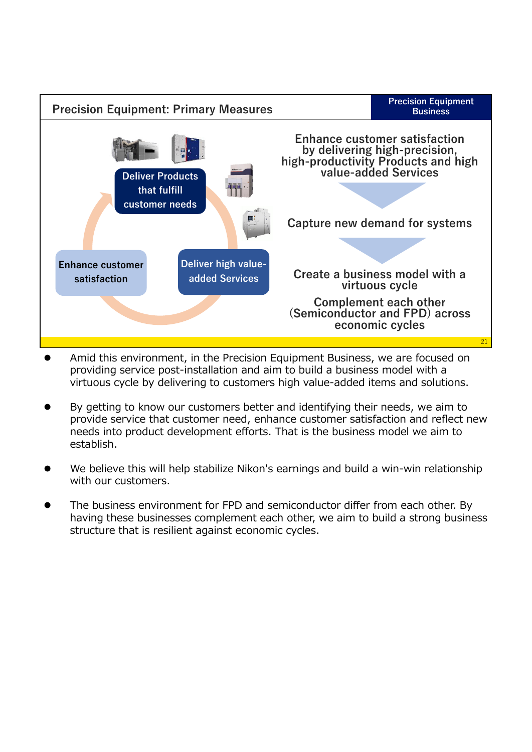

- Amid this environment, in the Precision Equipment Business, we are focused on providing service post-installation and aim to build a business model with a virtuous cycle by delivering to customers high value-added items and solutions.
- By getting to know our customers better and identifying their needs, we aim to provide service that customer need, enhance customer satisfaction and reflect new needs into product development efforts. That is the business model we aim to establish.
- We believe this will help stabilize Nikon's earnings and build a win-win relationship with our customers.
- The business environment for FPD and semiconductor differ from each other. By having these businesses complement each other, we aim to build a strong business structure that is resilient against economic cycles.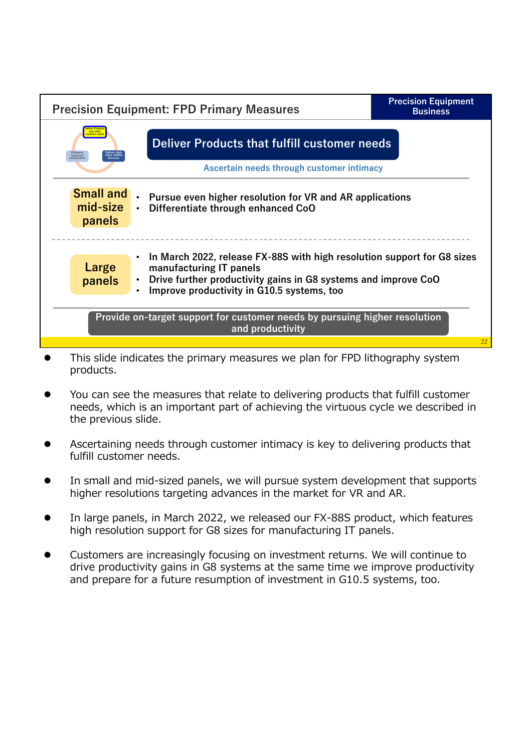

- This slide indicates the primary measures we plan for FPD lithography system products.
- You can see the measures that relate to delivering products that fulfill customer needs, which is an important part of achieving the virtuous cycle we described in the previous slide.
- Ascertaining needs through customer intimacy is key to delivering products that fulfill customer needs.
- In small and mid-sized panels, we will pursue system development that supports higher resolutions targeting advances in the market for VR and AR.
- In large panels, in March 2022, we released our FX-88S product, which features high resolution support for G8 sizes for manufacturing IT panels.
- Customers are increasingly focusing on investment returns. We will continue to drive productivity gains in G8 systems at the same time we improve productivity and prepare for a future resumption of investment in G10.5 systems, too.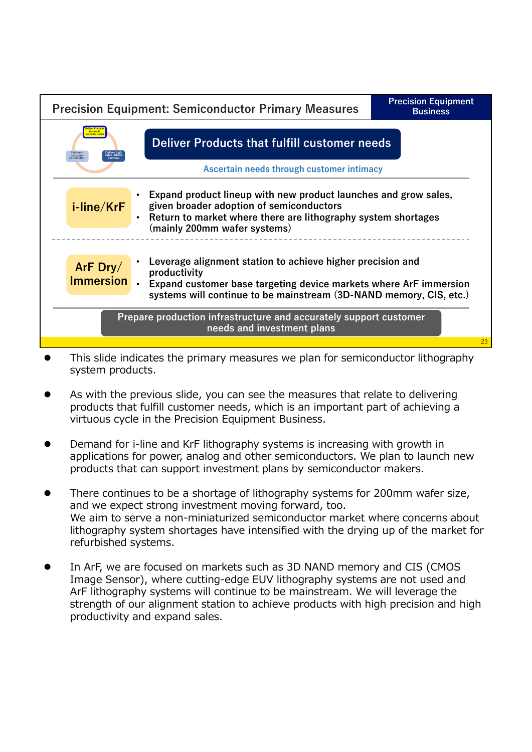| <b>Precision Equipment: Semiconductor Primary Measures</b>                                                                                                                                                                 |                                                                                                                                                                                                                       | <b>Precision Equipment</b><br><b>Business</b> |  |
|----------------------------------------------------------------------------------------------------------------------------------------------------------------------------------------------------------------------------|-----------------------------------------------------------------------------------------------------------------------------------------------------------------------------------------------------------------------|-----------------------------------------------|--|
| that fulfill<br>istomer need<br><b>Deliver Products that fulfill customer needs</b><br>satisfaction                                                                                                                        |                                                                                                                                                                                                                       |                                               |  |
|                                                                                                                                                                                                                            | Ascertain needs through customer intimacy                                                                                                                                                                             |                                               |  |
| Expand product lineup with new product launches and grow sales,<br>given broader adoption of semiconductors<br>i-line/KrF<br>Return to market where there are lithography system shortages<br>(mainly 200mm wafer systems) |                                                                                                                                                                                                                       |                                               |  |
| ArF $_{\rm{Dry/}}$<br><b>Immersion</b>                                                                                                                                                                                     | Leverage alignment station to achieve higher precision and<br>productivity<br>Expand customer base targeting device markets where ArF immersion<br>systems will continue to be mainstream (3D-NAND memory, CIS, etc.) |                                               |  |
| Prepare production infrastructure and accurately support customer<br>needs and investment plans                                                                                                                            |                                                                                                                                                                                                                       |                                               |  |
|                                                                                                                                                                                                                            |                                                                                                                                                                                                                       |                                               |  |

- This slide indicates the primary measures we plan for semiconductor lithography system products.
- As with the previous slide, you can see the measures that relate to delivering products that fulfill customer needs, which is an important part of achieving a virtuous cycle in the Precision Equipment Business.
- Demand for i-line and KrF lithography systems is increasing with growth in applications for power, analog and other semiconductors. We plan to launch new products that can support investment plans by semiconductor makers.
- There continues to be a shortage of lithography systems for 200mm wafer size, and we expect strong investment moving forward, too. We aim to serve a non-miniaturized semiconductor market where concerns about lithography system shortages have intensified with the drying up of the market for refurbished systems.
- In ArF, we are focused on markets such as 3D NAND memory and CIS (CMOS Image Sensor), where cutting-edge EUV lithography systems are not used and ArF lithography systems will continue to be mainstream. We will leverage the strength of our alignment station to achieve products with high precision and high productivity and expand sales.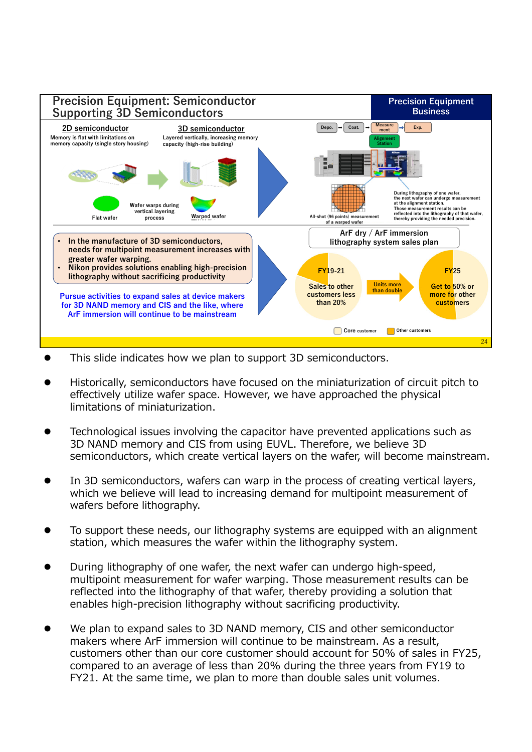

- This slide indicates how we plan to support 3D semiconductors.
- Historically, semiconductors have focused on the miniaturization of circuit pitch to effectively utilize wafer space. However, we have approached the physical limitations of miniaturization.
- Technological issues involving the capacitor have prevented applications such as 3D NAND memory and CIS from using EUVL. Therefore, we believe 3D semiconductors, which create vertical layers on the wafer, will become mainstream.
- In 3D semiconductors, wafers can warp in the process of creating vertical layers, which we believe will lead to increasing demand for multipoint measurement of wafers before lithography.
- To support these needs, our lithography systems are equipped with an alignment station, which measures the wafer within the lithography system.
- During lithography of one wafer, the next wafer can undergo high-speed, multipoint measurement for wafer warping. Those measurement results can be reflected into the lithography of that wafer, thereby providing a solution that enables high-precision lithography without sacrificing productivity.
- We plan to expand sales to 3D NAND memory, CIS and other semiconductor makers where ArF immersion will continue to be mainstream. As a result, customers other than our core customer should account for 50% of sales in FY25, compared to an average of less than 20% during the three years from FY19 to FY21. At the same time, we plan to more than double sales unit volumes.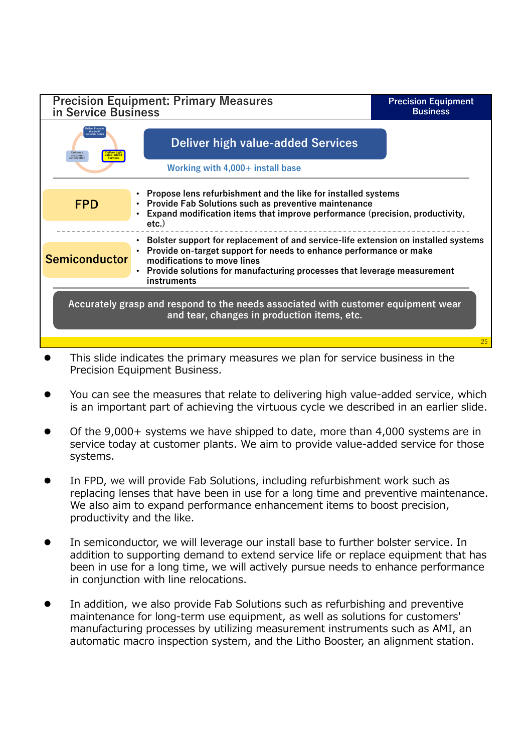| <b>Precision Equipment: Primary Measures</b><br>in Service Business                                                              |                                                                                                                                                                                                                                                                                   | <b>Precision Equipment</b><br><b>Business</b> |  |
|----------------------------------------------------------------------------------------------------------------------------------|-----------------------------------------------------------------------------------------------------------------------------------------------------------------------------------------------------------------------------------------------------------------------------------|-----------------------------------------------|--|
| Enhance<br>customer<br>atisfaction                                                                                               | <b>Deliver high value-added Services</b>                                                                                                                                                                                                                                          |                                               |  |
|                                                                                                                                  | Working with 4,000+ install base                                                                                                                                                                                                                                                  |                                               |  |
| <b>FPD</b>                                                                                                                       | Propose lens refurbishment and the like for installed systems<br><b>Provide Fab Solutions such as preventive maintenance</b><br>Expand modification items that improve performance (precision, productivity,<br>$etc.$ )                                                          |                                               |  |
| <b>Semiconductor</b>                                                                                                             | Bolster support for replacement of and service-life extension on installed systems<br>Provide on-target support for needs to enhance performance or make<br>modifications to move lines<br>Provide solutions for manufacturing processes that leverage measurement<br>instruments |                                               |  |
| Accurately grasp and respond to the needs associated with customer equipment wear<br>and tear, changes in production items, etc. |                                                                                                                                                                                                                                                                                   |                                               |  |
|                                                                                                                                  |                                                                                                                                                                                                                                                                                   | 25                                            |  |

- This slide indicates the primary measures we plan for service business in the Precision Equipment Business.
- You can see the measures that relate to delivering high value-added service, which is an important part of achieving the virtuous cycle we described in an earlier slide.
- Of the 9,000+ systems we have shipped to date, more than 4,000 systems are in service today at customer plants. We aim to provide value-added service for those systems.
- In FPD, we will provide Fab Solutions, including refurbishment work such as replacing lenses that have been in use for a long time and preventive maintenance. We also aim to expand performance enhancement items to boost precision, productivity and the like.
- In semiconductor, we will leverage our install base to further bolster service. In addition to supporting demand to extend service life or replace equipment that has been in use for a long time, we will actively pursue needs to enhance performance in conjunction with line relocations.
- In addition, we also provide Fab Solutions such as refurbishing and preventive maintenance for long-term use equipment, as well as solutions for customers' manufacturing processes by utilizing measurement instruments such as AMI, an automatic macro inspection system, and the Litho Booster, an alignment station.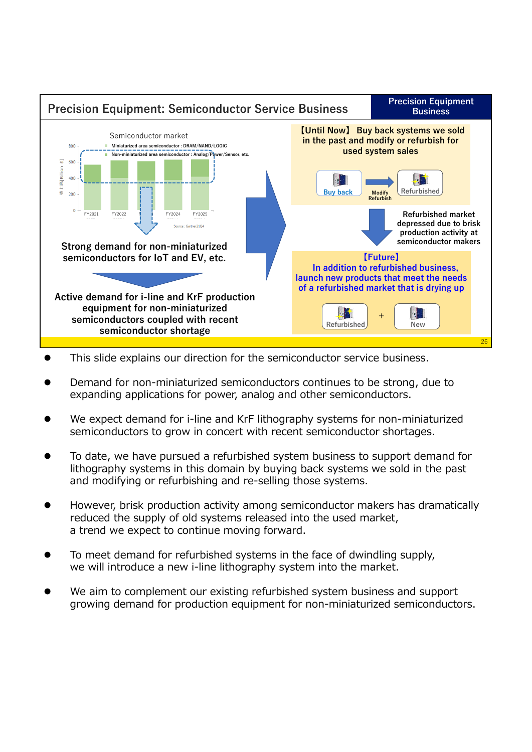

- This slide explains our direction for the semiconductor service business.
- Demand for non-miniaturized semiconductors continues to be strong, due to expanding applications for power, analog and other semiconductors.
- We expect demand for i-line and KrF lithography systems for non-miniaturized semiconductors to grow in concert with recent semiconductor shortages.
- To date, we have pursued a refurbished system business to support demand for lithography systems in this domain by buying back systems we sold in the past and modifying or refurbishing and re-selling those systems.
- However, brisk production activity among semiconductor makers has dramatically reduced the supply of old systems released into the used market, a trend we expect to continue moving forward.
- To meet demand for refurbished systems in the face of dwindling supply, we will introduce a new i-line lithography system into the market.
- We aim to complement our existing refurbished system business and support growing demand for production equipment for non-miniaturized semiconductors.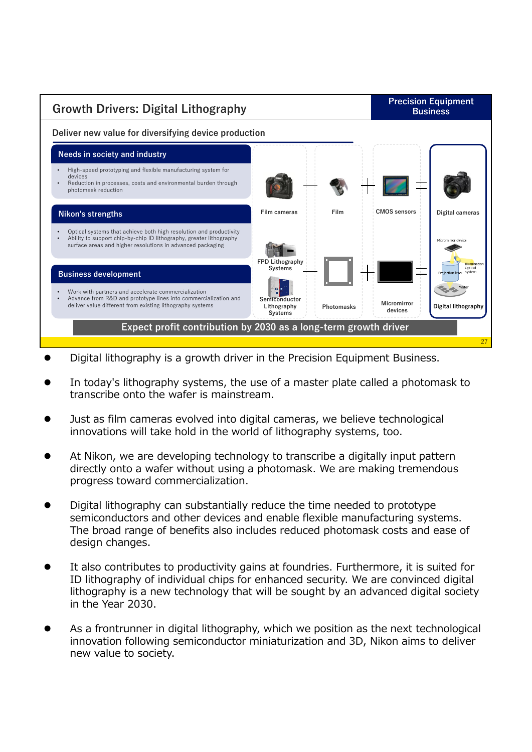

- Digital lithography is a growth driver in the Precision Equipment Business.
- In today's lithography systems, the use of a master plate called a photomask to transcribe onto the wafer is mainstream.
- Just as film cameras evolved into digital cameras, we believe technological innovations will take hold in the world of lithography systems, too.
- At Nikon, we are developing technology to transcribe a digitally input pattern directly onto a wafer without using a photomask. We are making tremendous progress toward commercialization.
- Digital lithography can substantially reduce the time needed to prototype semiconductors and other devices and enable flexible manufacturing systems. The broad range of benefits also includes reduced photomask costs and ease of design changes.
- It also contributes to productivity gains at foundries. Furthermore, it is suited for ID lithography of individual chips for enhanced security. We are convinced digital lithography is a new technology that will be sought by an advanced digital society in the Year 2030.
- As a frontrunner in digital lithography, which we position as the next technological innovation following semiconductor miniaturization and 3D, Nikon aims to deliver new value to society.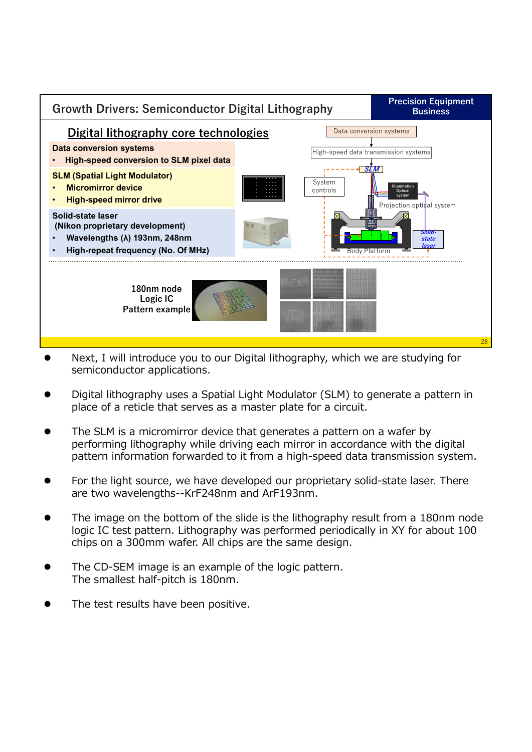

- Next, I will introduce you to our Digital lithography, which we are studying for semiconductor applications.
- Digital lithography uses a Spatial Light Modulator (SLM) to generate a pattern in place of a reticle that serves as a master plate for a circuit.
- The SLM is a micromirror device that generates a pattern on a wafer by performing lithography while driving each mirror in accordance with the digital pattern information forwarded to it from a high-speed data transmission system.
- For the light source, we have developed our proprietary solid-state laser. There are two wavelengths--KrF248nm and ArF193nm.
- The image on the bottom of the slide is the lithography result from a 180nm node logic IC test pattern. Lithography was performed periodically in XY for about 100 chips on a 300mm wafer. All chips are the same design.
- The CD-SEM image is an example of the logic pattern. The smallest half-pitch is 180nm.
- The test results have been positive.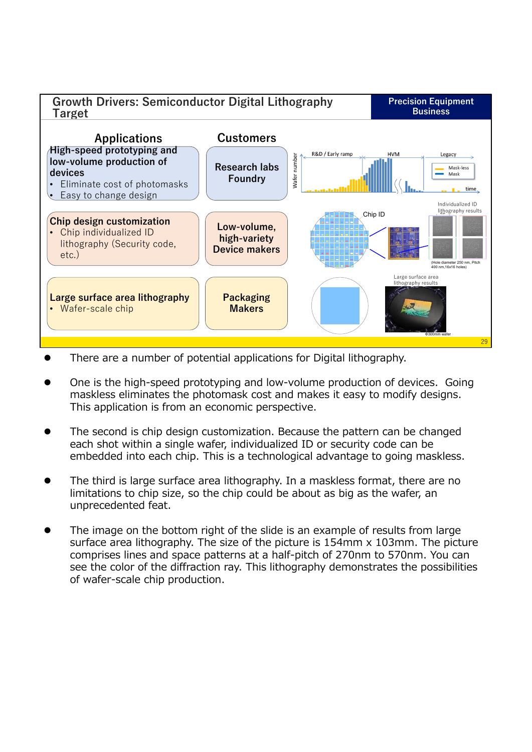

- There are a number of potential applications for Digital lithography.
- One is the high-speed prototyping and low-volume production of devices. Going maskless eliminates the photomask cost and makes it easy to modify designs. This application is from an economic perspective.
- The second is chip design customization. Because the pattern can be changed each shot within a single wafer, individualized ID or security code can be embedded into each chip. This is a technological advantage to going maskless.
- The third is large surface area lithography. In a maskless format, there are no limitations to chip size, so the chip could be about as big as the wafer, an unprecedented feat.
- The image on the bottom right of the slide is an example of results from large surface area lithography. The size of the picture is 154mm x 103mm. The picture comprises lines and space patterns at a half-pitch of 270nm to 570nm. You can see the color of the diffraction ray. This lithography demonstrates the possibilities of wafer-scale chip production.